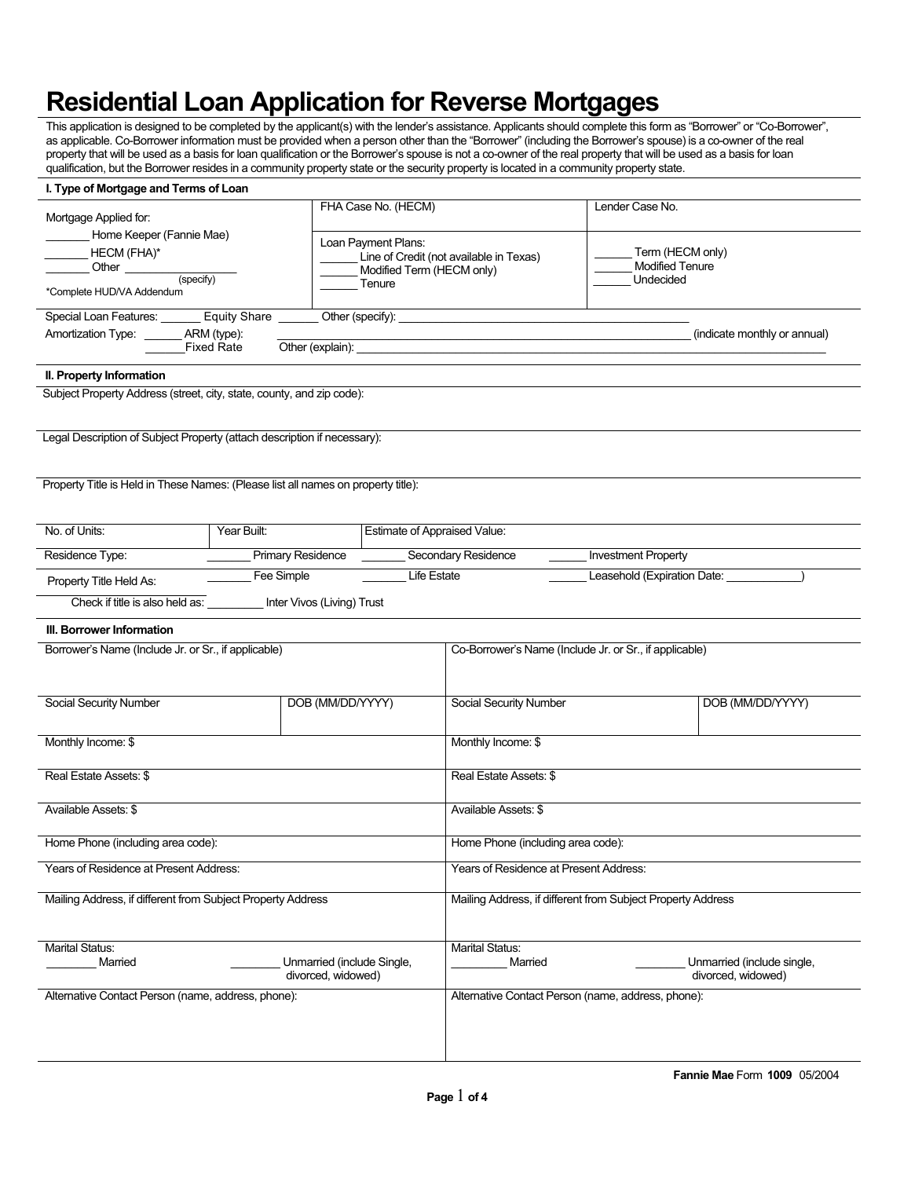# **Residential Loan Application for Reverse Mortgages**

This application is designed to be completed by the applicant(s) with the lender's assistance. Applicants should complete this form as "Borrower" or "Co-Borrower", as applicable. Co-Borrower information must be provided when a person other than the "Borrower" (including the Borrower's spouse) is a co-owner of the real property that will be used as a basis for loan qualification or the Borrower's spouse is not a co-owner of the real property that will be used as a basis for loan qualification, but the Borrower resides in a community property state or the security property is located in a community property state.

| I. Type of Mortgage and Terms of Loan                                                                                                          |                                       |                                                                                             |                                                             |                                                        |                                                  |  |  |
|------------------------------------------------------------------------------------------------------------------------------------------------|---------------------------------------|---------------------------------------------------------------------------------------------|-------------------------------------------------------------|--------------------------------------------------------|--------------------------------------------------|--|--|
| Mortgage Applied for:                                                                                                                          |                                       | FHA Case No. (HECM)                                                                         |                                                             | Lender Case No.                                        |                                                  |  |  |
| Home Keeper (Fannie Mae)<br>$\quad$ HECM (FHA)*<br>_______ Other _______                                                                       |                                       | Loan Payment Plans:<br>Line of Credit (not available in Texas)<br>Modified Term (HECM only) |                                                             | Term (HECM only)<br><b>Modified Tenure</b>             |                                                  |  |  |
| *Complete HUD/VA Addendum                                                                                                                      | (specify)<br>Tenure                   |                                                                                             |                                                             | Undecided                                              |                                                  |  |  |
| Special Loan Features: _______ Equity Share _______ Other (specify): _______________________________<br>Amortization Type: _______ ARM (type): |                                       |                                                                                             |                                                             | (indicate monthly or annual)                           |                                                  |  |  |
|                                                                                                                                                | <b>Fixed Rate</b>                     |                                                                                             | Other (explain):                                            |                                                        |                                                  |  |  |
| II. Property Information                                                                                                                       |                                       |                                                                                             |                                                             |                                                        |                                                  |  |  |
| Subject Property Address (street, city, state, county, and zip code):                                                                          |                                       |                                                                                             |                                                             |                                                        |                                                  |  |  |
| Legal Description of Subject Property (attach description if necessary):                                                                       |                                       |                                                                                             |                                                             |                                                        |                                                  |  |  |
| Property Title is Held in These Names: (Please list all names on property title):                                                              |                                       |                                                                                             |                                                             |                                                        |                                                  |  |  |
|                                                                                                                                                |                                       |                                                                                             |                                                             |                                                        |                                                  |  |  |
| No. of Units:                                                                                                                                  | Year Built:                           | Estimate of Appraised Value:                                                                |                                                             |                                                        |                                                  |  |  |
| Residence Type:                                                                                                                                | Primary Residence Secondary Residence |                                                                                             |                                                             | Investment Property                                    |                                                  |  |  |
| Property Title Held As:                                                                                                                        | Fee Simple                            |                                                                                             | Life Estate                                                 | Leasehold (Expiration Date:                            |                                                  |  |  |
| Check if title is also held as: __________ Inter Vivos (Living) Trust                                                                          |                                       |                                                                                             |                                                             |                                                        |                                                  |  |  |
| III. Borrower Information                                                                                                                      |                                       |                                                                                             |                                                             |                                                        |                                                  |  |  |
| Borrower's Name (Include Jr. or Sr., if applicable)                                                                                            |                                       |                                                                                             |                                                             | Co-Borrower's Name (Include Jr. or Sr., if applicable) |                                                  |  |  |
|                                                                                                                                                |                                       |                                                                                             |                                                             |                                                        |                                                  |  |  |
| Social Security Number                                                                                                                         |                                       | DOB (MM/DD/YYYY)                                                                            | Social Security Number                                      |                                                        | DOB (MM/DD/YYYY)                                 |  |  |
| Monthly Income: \$                                                                                                                             |                                       |                                                                                             | Monthly Income: \$                                          |                                                        |                                                  |  |  |
| Real Estate Assets: \$                                                                                                                         |                                       |                                                                                             | Real Estate Assets: \$                                      |                                                        |                                                  |  |  |
| Available Assets: \$                                                                                                                           |                                       |                                                                                             | Available Assets: \$                                        |                                                        |                                                  |  |  |
| Home Phone (including area code):                                                                                                              |                                       |                                                                                             | Home Phone (including area code):                           |                                                        |                                                  |  |  |
| Years of Residence at Present Address:                                                                                                         |                                       |                                                                                             | Years of Residence at Present Address:                      |                                                        |                                                  |  |  |
| Mailing Address, if different from Subject Property Address                                                                                    |                                       |                                                                                             | Mailing Address, if different from Subject Property Address |                                                        |                                                  |  |  |
| <b>Marital Status:</b><br>Unmarried (include Single,<br>Married<br>divorced, widowed)                                                          |                                       |                                                                                             | <b>Marital Status:</b><br>Married                           |                                                        | Unmarried (include single,<br>divorced, widowed) |  |  |
| Alternative Contact Person (name, address, phone):                                                                                             |                                       |                                                                                             |                                                             | Alternative Contact Person (name, address, phone):     |                                                  |  |  |
|                                                                                                                                                |                                       |                                                                                             |                                                             |                                                        |                                                  |  |  |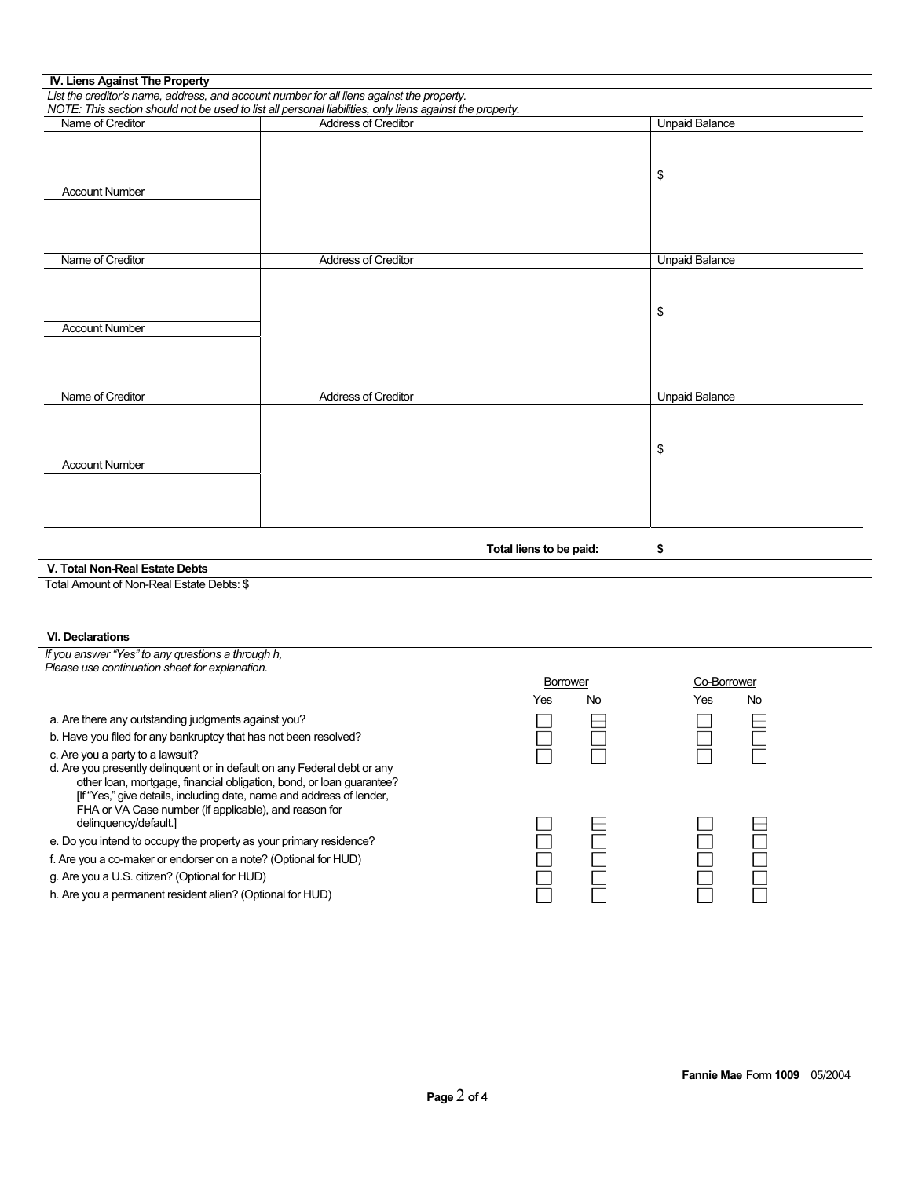| IV. Liens Against The Property                                                            |                                                                                                                                                          |                       |  |  |  |
|-------------------------------------------------------------------------------------------|----------------------------------------------------------------------------------------------------------------------------------------------------------|-----------------------|--|--|--|
| List the creditor's name, address, and account number for all liens against the property. |                                                                                                                                                          |                       |  |  |  |
| Name of Creditor                                                                          | NOTE: This section should not be used to list all personal liabilities, only liens against the property.<br>Address of Creditor<br><b>Unpaid Balance</b> |                       |  |  |  |
|                                                                                           |                                                                                                                                                          |                       |  |  |  |
|                                                                                           |                                                                                                                                                          |                       |  |  |  |
|                                                                                           |                                                                                                                                                          | \$                    |  |  |  |
| <b>Account Number</b>                                                                     |                                                                                                                                                          |                       |  |  |  |
|                                                                                           |                                                                                                                                                          |                       |  |  |  |
|                                                                                           |                                                                                                                                                          |                       |  |  |  |
|                                                                                           |                                                                                                                                                          |                       |  |  |  |
| Name of Creditor                                                                          | Address of Creditor                                                                                                                                      | <b>Unpaid Balance</b> |  |  |  |
|                                                                                           |                                                                                                                                                          |                       |  |  |  |
|                                                                                           |                                                                                                                                                          |                       |  |  |  |
|                                                                                           |                                                                                                                                                          | \$                    |  |  |  |
| <b>Account Number</b>                                                                     |                                                                                                                                                          |                       |  |  |  |
|                                                                                           |                                                                                                                                                          |                       |  |  |  |
|                                                                                           |                                                                                                                                                          |                       |  |  |  |
|                                                                                           |                                                                                                                                                          |                       |  |  |  |
| Name of Creditor                                                                          | <b>Address of Creditor</b>                                                                                                                               | <b>Unpaid Balance</b> |  |  |  |
|                                                                                           |                                                                                                                                                          |                       |  |  |  |
|                                                                                           |                                                                                                                                                          |                       |  |  |  |
|                                                                                           |                                                                                                                                                          | \$                    |  |  |  |
| <b>Account Number</b>                                                                     |                                                                                                                                                          |                       |  |  |  |
|                                                                                           |                                                                                                                                                          |                       |  |  |  |
|                                                                                           |                                                                                                                                                          |                       |  |  |  |
|                                                                                           |                                                                                                                                                          |                       |  |  |  |

**Total liens to be paid: \$** 

## **V. Total Non-Real Estate Debts**

Total Amount of Non-Real Estate Debts: \$

#### **VI. Declarations**  *If you answer "Yes" to any questions a through h, Please use continuation sheet for explanation.*  Co-Borrower **Borrower** Yes No Yes No a. Are there any outstanding judgments against you? Н  $\Box$ b. Have you filed for any bankruptcy that has not been resolved? ⊐ c. Are you a party to a lawsuit? d. Are you presently delinquent or in default on any Federal debt or any other loan, mortgage, financial obligation, bond, or loan guarantee? [If "Yes," give details, including date, name and address of lender, FHA or VA Case number (if applicable), and reason for delinquency/default.] H Ō<br>O<br>O e. Do you intend to occupy the property as your primary residence?  $\Box$ П П f. Are you a co-maker or endorser on a note? (Optional for HUD) g. Are you a U.S. citizen? (Optional for HUD) h. Are you a permanent resident alien? (Optional for HUD)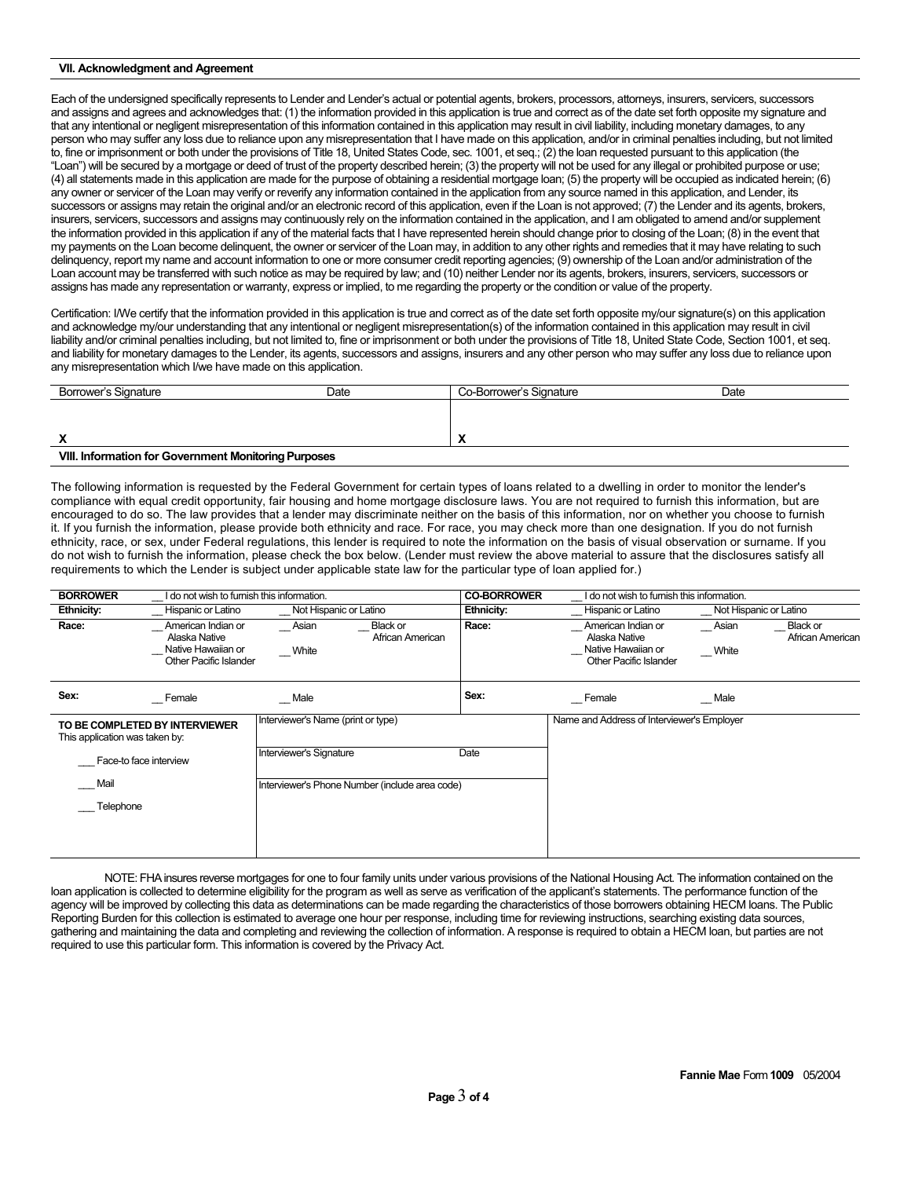#### **VII. Acknowledgment and Agreement**

Each of the undersigned specifically represents to Lender and Lender's actual or potential agents, brokers, processors, attorneys, insurers, servicers, successors and assigns and agrees and acknowledges that: (1) the information provided in this application is true and correct as of the date set forth opposite my signature and that any intentional or negligent misrepresentation of this information contained in this application may result in civil liability, including monetary damages, to any person who may suffer any loss due to reliance upon any misrepresentation that I have made on this application, and/or in criminal penalties including, but not limited to, fine or imprisonment or both under the provisions of Title 18, United States Code, sec. 1001, et seq.; (2) the loan requested pursuant to this application (the "Loan") will be secured by a mortgage or deed of trust of the property described herein; (3) the property will not be used for any illegal or prohibited purpose or use; (4) all statements made in this application are made for the purpose of obtaining a residential mortgage loan; (5) the property will be occupied as indicated herein; (6) any owner or servicer of the Loan may verify or reverify any information contained in the application from any source named in this application, and Lender, its successors or assigns may retain the original and/or an electronic record of this application, even if the Loan is not approved; (7) the Lender and its agents, brokers, insurers, servicers, successors and assigns may continuously rely on the information contained in the application, and I am obligated to amend and/or supplement the information provided in this application if any of the material facts that I have represented herein should change prior to closing of the Loan; (8) in the event that my payments on the Loan become delinquent, the owner or servicer of the Loan may, in addition to any other rights and remedies that it may have relating to such delinquency, report my name and account information to one or more consumer credit reporting agencies; (9) ownership of the Loan and/or administration of the Loan account may be transferred with such notice as may be required by law; and (10) neither Lender nor its agents, brokers, insurers, servicers, successors or assigns has made any representation or warranty, express or implied, to me regarding the property or the condition or value of the property.

Certification: I/We certify that the information provided in this application is true and correct as of the date set forth opposite my/our signature(s) on this application and acknowledge my/our understanding that any intentional or negligent misrepresentation(s) of the information contained in this application may result in civil liability and/or criminal penalties including, but not limited to, fine or imprisonment or both under the provisions of Title 18, United State Code, Section 1001, et seq. and liability for monetary damages to the Lender, its agents, successors and assigns, insurers and any other person who may suffer any loss due to reliance upon any misrepresentation which I/we have made on this application.

| Borrower's Signature                                 | Date | Co-Borrower's Signature | Date |  |  |
|------------------------------------------------------|------|-------------------------|------|--|--|
|                                                      |      |                         |      |  |  |
|                                                      |      |                         |      |  |  |
|                                                      |      |                         |      |  |  |
| VIII. Information for Government Monitoring Purposes |      |                         |      |  |  |

The following information is requested by the Federal Government for certain types of loans related to a dwelling in order to monitor the lender's compliance with equal credit opportunity, fair housing and home mortgage disclosure laws. You are not required to furnish this information, but are encouraged to do so. The law provides that a lender may discriminate neither on the basis of this information, nor on whether you choose to furnish it. If you furnish the information, please provide both ethnicity and race. For race, you may check more than one designation. If you do not furnish ethnicity, race, or sex, under Federal regulations, this lender is required to note the information on the basis of visual observation or surname. If you do not wish to furnish the information, please check the box below. (Lender must review the above material to assure that the disclosures satisfy all requirements to which the Lender is subject under applicable state law for the particular type of loan applied for.)

| <b>BORROWER</b>                | I do not wish to furnish this information.                                                 |                                                | <b>CO-BORROWER</b>                  | I do not wish to furnish this information. |                                                                                            |                        |                                     |
|--------------------------------|--------------------------------------------------------------------------------------------|------------------------------------------------|-------------------------------------|--------------------------------------------|--------------------------------------------------------------------------------------------|------------------------|-------------------------------------|
| Ethnicity:                     | Hispanic or Latino                                                                         | Not Hispanic or Latino                         |                                     | Ethnicity:                                 | Hispanic or Latino                                                                         | Not Hispanic or Latino |                                     |
| Race:                          | American Indian or<br>Alaska Native<br>Native Hawaiian or<br><b>Other Pacific Islander</b> | Asian<br>White                                 | <b>Black or</b><br>African American | Race:                                      | American Indian or<br>Alaska Native<br>Native Hawaiian or<br><b>Other Pacific Islander</b> | Asian<br>White         | <b>Black or</b><br>African American |
| Sex:                           | Female                                                                                     | Male                                           |                                     | Sex:                                       | Female                                                                                     | Male                   |                                     |
| This application was taken by: | TO BE COMPLETED BY INTERVIEWER                                                             | Interviewer's Name (print or type)             |                                     |                                            | Name and Address of Interviewer's Employer                                                 |                        |                                     |
|                                | Face-to face interview                                                                     | Interviewer's Signature                        |                                     | Date                                       |                                                                                            |                        |                                     |
| Mail                           |                                                                                            | Interviewer's Phone Number (include area code) |                                     |                                            |                                                                                            |                        |                                     |
| Telephone                      |                                                                                            |                                                |                                     |                                            |                                                                                            |                        |                                     |
|                                |                                                                                            |                                                |                                     |                                            |                                                                                            |                        |                                     |

NOTE: FHA insures reverse mortgages for one to four family units under various provisions of the National Housing Act. The information contained on the loan application is collected to determine eligibility for the program as well as serve as verification of the applicant's statements. The performance function of the agency will be improved by collecting this data as determinations can be made regarding the characteristics of those borrowers obtaining HECM loans. The Public Reporting Burden for this collection is estimated to average one hour per response, including time for reviewing instructions, searching existing data sources, gathering and maintaining the data and completing and reviewing the collection of information. A response is required to obtain a HECM loan, but parties are not required to use this particular form. This information is covered by the Privacy Act.